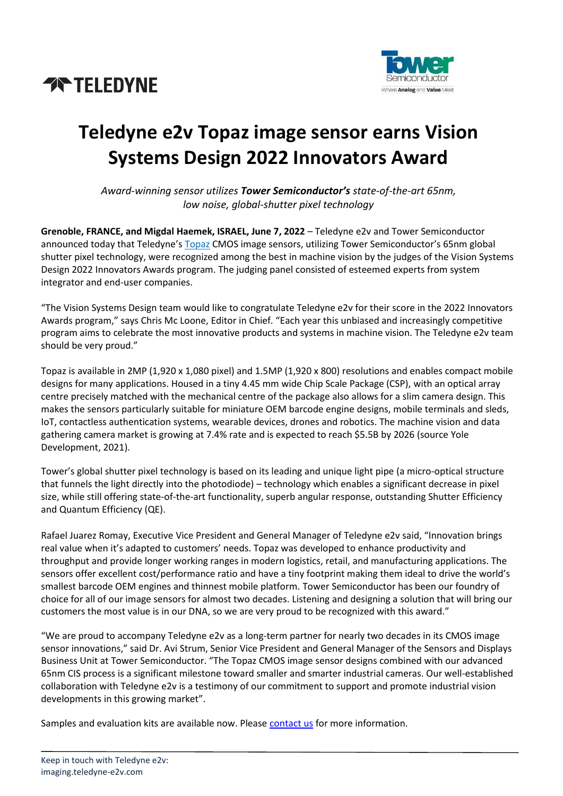



# **Teledyne e2v Topaz image sensor earns Vision Systems Design 2022 Innovators Award**

*Award-winning sensor utilizes Tower Semiconductor's state-of-the-art 65nm, low noise, global-shutter pixel technology* 

**Grenoble, FRANCE, and Migdal Haemek, ISRAEL, June 7, 2022** – Teledyne e2v and Tower Semiconductor announced today that Teledyne's [Topaz](https://imaging.teledyne-e2v.com/products/2d-cmos-image-sensors/topaz/) CMOS image sensors, utilizing Tower Semiconductor's 65nm global shutter pixel technology, were recognized among the best in machine vision by the judges of the Vision Systems Design 2022 Innovators Awards program. The judging panel consisted of esteemed experts from system integrator and end-user companies.

"The Vision Systems Design team would like to congratulate Teledyne e2v for their score in the 2022 Innovators Awards program," says Chris Mc Loone, Editor in Chief. "Each year this unbiased and increasingly competitive program aims to celebrate the most innovative products and systems in machine vision. The Teledyne e2v team should be very proud."

Topaz is available in 2MP (1,920 x 1,080 pixel) and 1.5MP (1,920 x 800) resolutions and enables compact mobile designs for many applications. Housed in a tiny 4.45 mm wide Chip Scale Package (CSP), with an optical array centre precisely matched with the mechanical centre of the package also allows for a slim camera design. This makes the sensors particularly suitable for miniature OEM barcode engine designs, mobile terminals and sleds, IoT, contactless authentication systems, wearable devices, drones and robotics. The machine vision and data gathering camera market is growing at 7.4% rate and is expected to reach \$5.5B by 2026 (source Yole Development, 2021).

Tower's global shutter pixel technology is based on its leading and unique light pipe (a micro-optical structure that funnels the light directly into the photodiode) – technology which enables a significant decrease in pixel size, while still offering state-of-the-art functionality, superb angular response, outstanding Shutter Efficiency and Quantum Efficiency (QE).

Rafael Juarez Romay, Executive Vice President and General Manager of Teledyne e2v said, "Innovation brings real value when it's adapted to customers' needs. Topaz was developed to enhance productivity and throughput and provide longer working ranges in modern logistics, retail, and manufacturing applications. The sensors offer excellent cost/performance ratio and have a tiny footprint making them ideal to drive the world's smallest barcode OEM engines and thinnest mobile platform. Tower Semiconductor has been our foundry of choice for all of our image sensors for almost two decades. Listening and designing a solution that will bring our customers the most value is in our DNA, so we are very proud to be recognized with this award."

"We are proud to accompany Teledyne e2v as a long-term partner for nearly two decades in its CMOS image sensor innovations," said Dr. Avi Strum, Senior Vice President and General Manager of the Sensors and Displays Business Unit at Tower Semiconductor. "The Topaz CMOS image sensor designs combined with our advanced 65nm CIS process is a significant milestone toward smaller and smarter industrial cameras. Our well-established collaboration with Teledyne e2v is a testimony of our commitment to support and promote industrial vision developments in this growing market".

Samples and evaluation kits are available now. Please [contact us](https://imaging.teledyne-e2v.com/contact/) for more information.